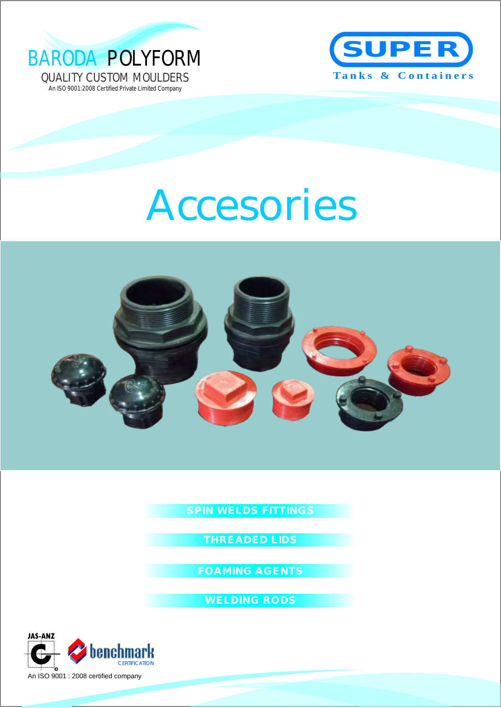



# Accesories



**SPIN WELDS FITTINGS**

**THREADED LIDS** 

**FOAMING AGENTS**

**WELDING RODS**

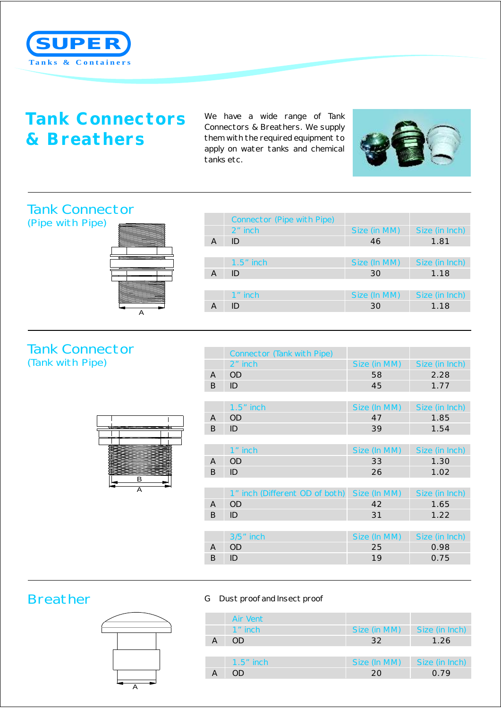

## **Tank Connectors & Breathers**

We have a wide range of Tank Connectors & Breathers. We supply them with the required equipment to apply on water tanks and chemical tanks etc.



#### Tank Connector (Pipe with Pipe)



|                | Connector (Pipe with Pipe) |              |                |
|----------------|----------------------------|--------------|----------------|
|                | $2n$ inch                  | Size (in MM) | Size (in Inch) |
| $\overline{A}$ | ID                         | 46           | 1.81           |
|                |                            |              |                |
|                | $1.5$ " inch               | Size (In MM) | Size (in Inch) |
| A              | ID                         | 30           | 1.18           |
|                |                            |              |                |
|                | 1" inch                    | Size (In MM) | Size (in Inch) |
|                | ID                         | 30           | 1.18           |

#### Tank Connector (Tank with Pipe)



|   | Connector (Tank with Pipe)     |              |                |
|---|--------------------------------|--------------|----------------|
|   | 2" inch                        | Size (in MM) | Size (in Inch) |
| A | OD                             | 58           | 2.28           |
| B | ID                             | 45           | 1.77           |
|   |                                |              |                |
|   | $1.5"$ inch                    | Size (In MM) | Size (in Inch) |
| A | OD                             | 47           | 1.85           |
| B | ID                             | 39           | 1.54           |
|   |                                |              |                |
|   | $1$ " inch                     | Size (In MM) | Size (in Inch) |
| A | <b>OD</b>                      | 33           | 1.30           |
| B | ID                             | 26           | 1.02           |
|   |                                |              |                |
|   | 1" inch (Different OD of both) | Size (In MM) | Size (in Inch) |
| A | <b>OD</b>                      | 42           | 1.65           |
| B | ID                             | 31           | 1.22           |
|   |                                |              |                |
|   | 3/5" inch                      | Size (In MM) | Size (in Inch) |
| A | <b>OD</b>                      | 25           | 0.98           |
| B | ID                             | 19           | 0.75           |
|   |                                |              |                |

### Breather GDust proof and Insect proof



|   | Air Vent     |              |                |
|---|--------------|--------------|----------------|
|   | 1" inch      | Size (in MM) | Size (in Inch) |
| A | OD.          | 32           | 1.26           |
|   |              |              |                |
|   | $1.5$ " inch | Size (In MM) | Size (in Inch) |
| A | OD           | 20           | 0.79           |
|   |              |              |                |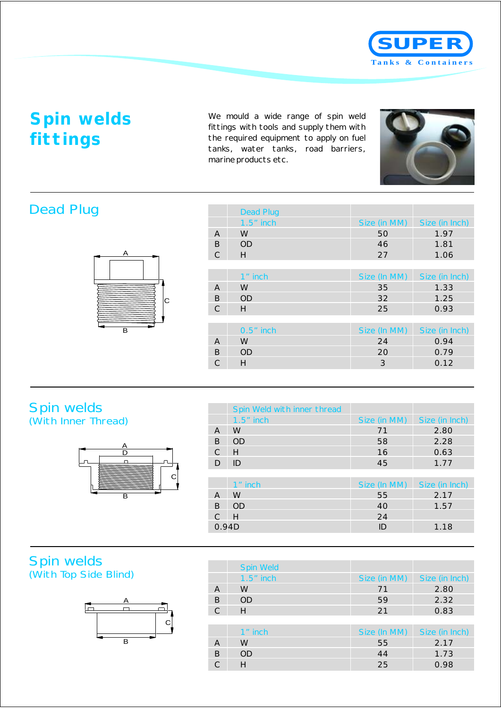

# **Spin welds fittings**

We mould a wide range of spin weld fittings with tools and supply them with the required equipment to apply on fuel tanks, water tanks, road barriers, marine products etc.



## Dead Plug



|               | <b>Dead Plug</b> |              |                |
|---------------|------------------|--------------|----------------|
|               | $1.5"$ inch      | Size (in MM) | Size (in Inch) |
| A             | W                | 50           | 1.97           |
| B             | <b>OD</b>        | 46           | 1.81           |
| C             | H                | 27           | 1.06           |
|               |                  |              |                |
|               | 1" inch          | Size (In MM) | Size (in Inch) |
| A             | W                | 35           | 1.33           |
| B             | <b>OD</b>        | 32           | 1.25           |
| $\mathcal{C}$ | H                | 25           | 0.93           |
|               |                  |              |                |
|               | $0.5"$ inch      | Size (In MM) | Size (in Inch) |
| A             | W                | 24           | 0.94           |
| B             | <b>OD</b>        | 20           | 0.79           |
| C             | Н                | 3            | 0.12           |

#### Spin welds (With Inner Thread)



|       | Spin Weld with inner thread |              |                |
|-------|-----------------------------|--------------|----------------|
|       | $1.5"$ inch                 | Size (in MM) | Size (in Inch) |
| A     | W                           | 71           | 2.80           |
| B     | <b>OD</b>                   | 58           | 2.28           |
| C     | H                           | 16           | 0.63           |
| D     | ID                          | 45           | 1.77           |
|       |                             |              |                |
|       | 1" inch                     | Size (In MM) | Size (in Inch) |
| A     | W                           | 55           | 2.17           |
| B     | <b>OD</b>                   | 40           | 1.57           |
| C     | H                           | 24           |                |
| 0.94D |                             | ID           | 1.18           |

#### Spin welds (With Top Side Blind)



|               | Spin Weld |              |                |
|---------------|-----------|--------------|----------------|
|               | 1.5" inch | Size (in MM) | Size (in Inch) |
| A             | W         | 71           | 2.80           |
| B             | <b>OD</b> | 59           | 2.32           |
| $\mathcal{C}$ | H         | 21           | 0.83           |
|               |           |              |                |
|               | 1" inch   | Size (In MM) | Size (in Inch) |
| A             | W         | 55           | 2.17           |
| B             | <b>OD</b> | 44           | 1.73           |
| C             | Н         | 25           | 0.98           |
|               |           |              |                |